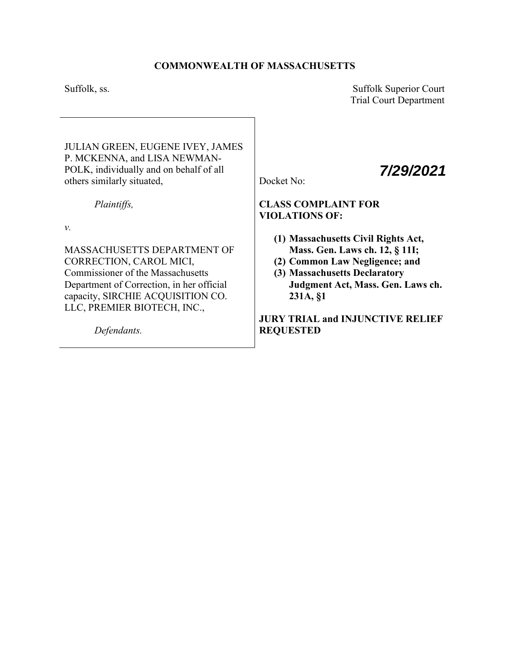# **COMMONWEALTH OF MASSACHUSETTS**

Suffolk, ss. Suffolk Superior Court Trial Court Department

*7/29/2021*

JULIAN GREEN, EUGENE IVEY, JAMES P. MCKENNA, and LISA NEWMAN-POLK, individually and on behalf of all others similarly situated,

*Plaintiffs,* 

*v.*

MASSACHUSETTS DEPARTMENT OF CORRECTION, CAROL MICI, Commissioner of the Massachusetts Department of Correction, in her official capacity, SIRCHIE ACQUISITION CO. LLC, PREMIER BIOTECH, INC.,

*Defendants.* 

Docket No:

# **CLASS COMPLAINT FOR VIOLATIONS OF:**

- **(1) Massachusetts Civil Rights Act, Mass. Gen. Laws ch. 12, § 11I;**
- **(2) Common Law Negligence; and**
- **(3) Massachusetts Declaratory Judgment Act, Mass. Gen. Laws ch. 231A, §1**

**JURY TRIAL and INJUNCTIVE RELIEF REQUESTED**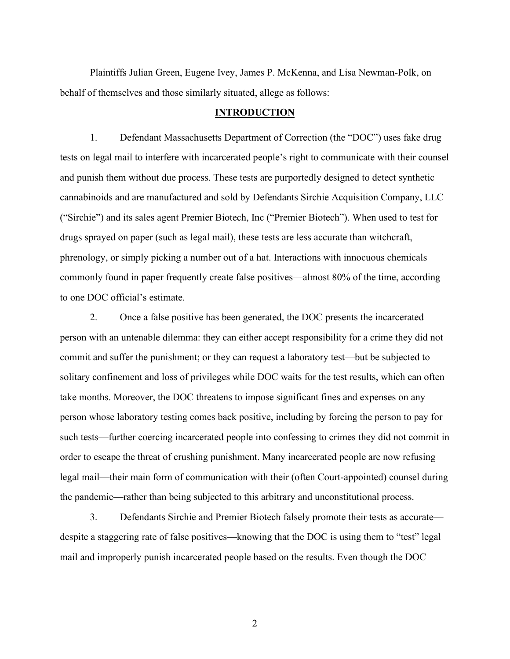Plaintiffs Julian Green, Eugene Ivey, James P. McKenna, and Lisa Newman-Polk, on behalf of themselves and those similarly situated, allege as follows:

### **INTRODUCTION**

1. Defendant Massachusetts Department of Correction (the "DOC") uses fake drug tests on legal mail to interfere with incarcerated people's right to communicate with their counsel and punish them without due process. These tests are purportedly designed to detect synthetic cannabinoids and are manufactured and sold by Defendants Sirchie Acquisition Company, LLC ("Sirchie") and its sales agent Premier Biotech, Inc ("Premier Biotech"). When used to test for drugs sprayed on paper (such as legal mail), these tests are less accurate than witchcraft, phrenology, or simply picking a number out of a hat. Interactions with innocuous chemicals commonly found in paper frequently create false positives—almost 80% of the time, according to one DOC official's estimate.

2. Once a false positive has been generated, the DOC presents the incarcerated person with an untenable dilemma: they can either accept responsibility for a crime they did not commit and suffer the punishment; or they can request a laboratory test—but be subjected to solitary confinement and loss of privileges while DOC waits for the test results, which can often take months. Moreover, the DOC threatens to impose significant fines and expenses on any person whose laboratory testing comes back positive, including by forcing the person to pay for such tests—further coercing incarcerated people into confessing to crimes they did not commit in order to escape the threat of crushing punishment. Many incarcerated people are now refusing legal mail—their main form of communication with their (often Court-appointed) counsel during the pandemic—rather than being subjected to this arbitrary and unconstitutional process.

3. Defendants Sirchie and Premier Biotech falsely promote their tests as accurate despite a staggering rate of false positives—knowing that the DOC is using them to "test" legal mail and improperly punish incarcerated people based on the results. Even though the DOC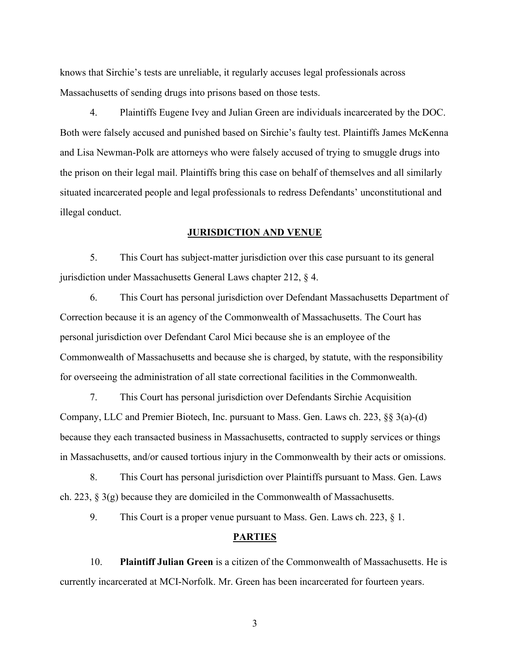knows that Sirchie's tests are unreliable, it regularly accuses legal professionals across Massachusetts of sending drugs into prisons based on those tests.

4. Plaintiffs Eugene Ivey and Julian Green are individuals incarcerated by the DOC. Both were falsely accused and punished based on Sirchie's faulty test. Plaintiffs James McKenna and Lisa Newman-Polk are attorneys who were falsely accused of trying to smuggle drugs into the prison on their legal mail. Plaintiffs bring this case on behalf of themselves and all similarly situated incarcerated people and legal professionals to redress Defendants' unconstitutional and illegal conduct.

### **JURISDICTION AND VENUE**

5. This Court has subject-matter jurisdiction over this case pursuant to its general jurisdiction under Massachusetts General Laws chapter 212, § 4.

6. This Court has personal jurisdiction over Defendant Massachusetts Department of Correction because it is an agency of the Commonwealth of Massachusetts. The Court has personal jurisdiction over Defendant Carol Mici because she is an employee of the Commonwealth of Massachusetts and because she is charged, by statute, with the responsibility for overseeing the administration of all state correctional facilities in the Commonwealth.

7. This Court has personal jurisdiction over Defendants Sirchie Acquisition Company, LLC and Premier Biotech, Inc. pursuant to Mass. Gen. Laws ch. 223, §§ 3(a)-(d) because they each transacted business in Massachusetts, contracted to supply services or things in Massachusetts, and/or caused tortious injury in the Commonwealth by their acts or omissions.

8. This Court has personal jurisdiction over Plaintiffs pursuant to Mass. Gen. Laws ch. 223, § 3(g) because they are domiciled in the Commonwealth of Massachusetts.

9. This Court is a proper venue pursuant to Mass. Gen. Laws ch. 223, § 1.

## **PARTIES**

10. **Plaintiff Julian Green** is a citizen of the Commonwealth of Massachusetts. He is currently incarcerated at MCI-Norfolk. Mr. Green has been incarcerated for fourteen years.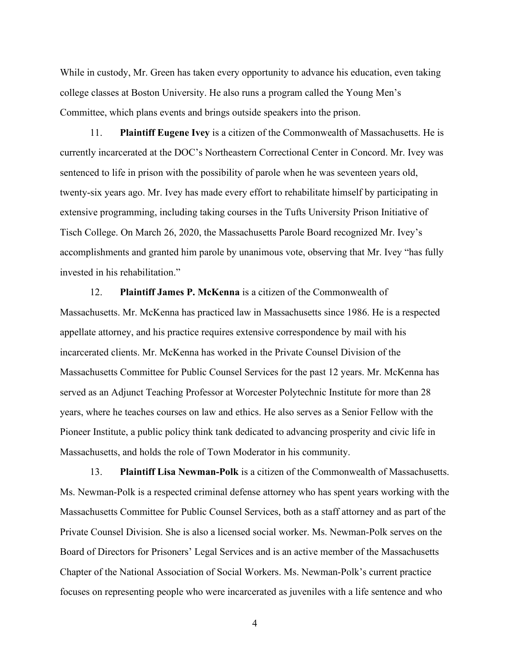While in custody, Mr. Green has taken every opportunity to advance his education, even taking college classes at Boston University. He also runs a program called the Young Men's Committee, which plans events and brings outside speakers into the prison.

11. **Plaintiff Eugene Ivey** is a citizen of the Commonwealth of Massachusetts. He is currently incarcerated at the DOC's Northeastern Correctional Center in Concord. Mr. Ivey was sentenced to life in prison with the possibility of parole when he was seventeen years old, twenty-six years ago. Mr. Ivey has made every effort to rehabilitate himself by participating in extensive programming, including taking courses in the Tufts University Prison Initiative of Tisch College. On March 26, 2020, the Massachusetts Parole Board recognized Mr. Ivey's accomplishments and granted him parole by unanimous vote, observing that Mr. Ivey "has fully invested in his rehabilitation."

12. **Plaintiff James P. McKenna** is a citizen of the Commonwealth of Massachusetts. Mr. McKenna has practiced law in Massachusetts since 1986. He is a respected appellate attorney, and his practice requires extensive correspondence by mail with his incarcerated clients. Mr. McKenna has worked in the Private Counsel Division of the Massachusetts Committee for Public Counsel Services for the past 12 years. Mr. McKenna has served as an Adjunct Teaching Professor at Worcester Polytechnic Institute for more than 28 years, where he teaches courses on law and ethics. He also serves as a Senior Fellow with the Pioneer Institute, a public policy think tank dedicated to advancing prosperity and civic life in Massachusetts, and holds the role of Town Moderator in his community.

13. **Plaintiff Lisa Newman-Polk** is a citizen of the Commonwealth of Massachusetts. Ms. Newman-Polk is a respected criminal defense attorney who has spent years working with the Massachusetts Committee for Public Counsel Services, both as a staff attorney and as part of the Private Counsel Division. She is also a licensed social worker. Ms. Newman-Polk serves on the Board of Directors for Prisoners' Legal Services and is an active member of the Massachusetts Chapter of the National Association of Social Workers. Ms. Newman-Polk's current practice focuses on representing people who were incarcerated as juveniles with a life sentence and who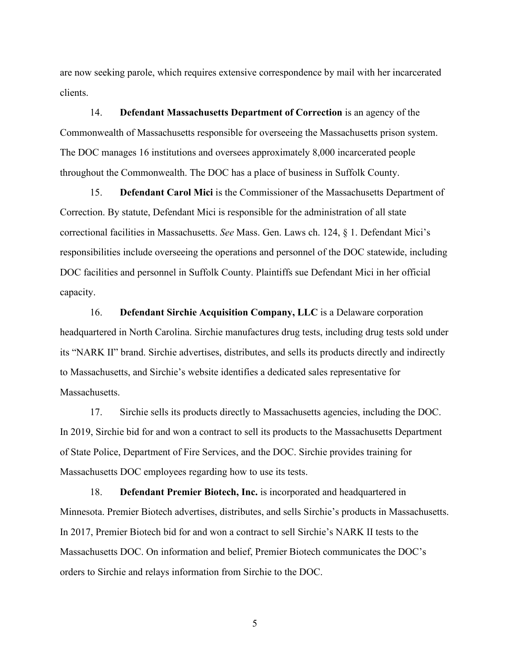are now seeking parole, which requires extensive correspondence by mail with her incarcerated clients.

14. **Defendant Massachusetts Department of Correction** is an agency of the Commonwealth of Massachusetts responsible for overseeing the Massachusetts prison system. The DOC manages 16 institutions and oversees approximately 8,000 incarcerated people throughout the Commonwealth. The DOC has a place of business in Suffolk County.

15. **Defendant Carol Mici** is the Commissioner of the Massachusetts Department of Correction. By statute, Defendant Mici is responsible for the administration of all state correctional facilities in Massachusetts. *See* Mass. Gen. Laws ch. 124, § 1. Defendant Mici's responsibilities include overseeing the operations and personnel of the DOC statewide, including DOC facilities and personnel in Suffolk County. Plaintiffs sue Defendant Mici in her official capacity.

16. **Defendant Sirchie Acquisition Company, LLC** is a Delaware corporation headquartered in North Carolina. Sirchie manufactures drug tests, including drug tests sold under its "NARK II" brand. Sirchie advertises, distributes, and sells its products directly and indirectly to Massachusetts, and Sirchie's website identifies a dedicated sales representative for Massachusetts.

17. Sirchie sells its products directly to Massachusetts agencies, including the DOC. In 2019, Sirchie bid for and won a contract to sell its products to the Massachusetts Department of State Police, Department of Fire Services, and the DOC. Sirchie provides training for Massachusetts DOC employees regarding how to use its tests.

18. **Defendant Premier Biotech, Inc.** is incorporated and headquartered in Minnesota. Premier Biotech advertises, distributes, and sells Sirchie's products in Massachusetts. In 2017, Premier Biotech bid for and won a contract to sell Sirchie's NARK II tests to the Massachusetts DOC. On information and belief, Premier Biotech communicates the DOC's orders to Sirchie and relays information from Sirchie to the DOC.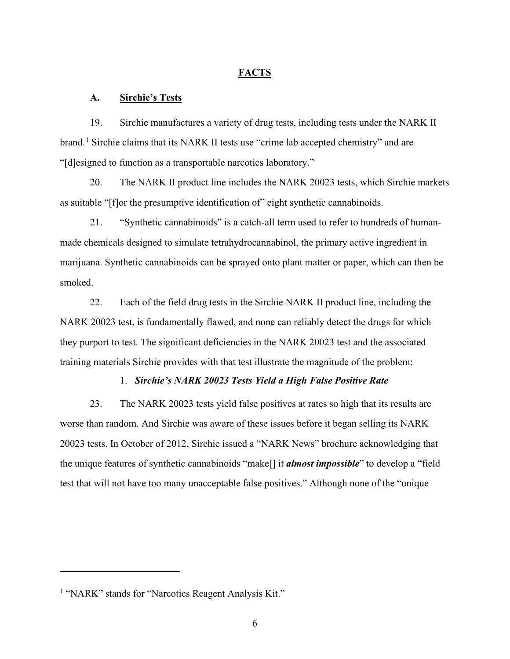### **FACTS**

## **A. Sirchie's Tests**

19. Sirchie manufactures a variety of drug tests, including tests under the NARK II brand.<sup>[1](#page-5-0)</sup> Sirchie claims that its NARK II tests use "crime lab accepted chemistry" and are "[d]esigned to function as a transportable narcotics laboratory."

20. The NARK II product line includes the NARK 20023 tests, which Sirchie markets as suitable "[f]or the presumptive identification of" eight synthetic cannabinoids.

21. "Synthetic cannabinoids" is a catch-all term used to refer to hundreds of humanmade chemicals designed to simulate tetrahydrocannabinol, the primary active ingredient in marijuana. Synthetic cannabinoids can be sprayed onto plant matter or paper, which can then be smoked.

22. Each of the field drug tests in the Sirchie NARK II product line, including the NARK 20023 test, is fundamentally flawed, and none can reliably detect the drugs for which they purport to test. The significant deficiencies in the NARK 20023 test and the associated training materials Sirchie provides with that test illustrate the magnitude of the problem:

### 1. *Sirchie's NARK 20023 Tests Yield a High False Positive Rate*

23. The NARK 20023 tests yield false positives at rates so high that its results are worse than random. And Sirchie was aware of these issues before it began selling its NARK 20023 tests. In October of 2012, Sirchie issued a "NARK News" brochure acknowledging that the unique features of synthetic cannabinoids "make[] it *almost impossible*" to develop a "field test that will not have too many unacceptable false positives." Although none of the "unique

<span id="page-5-0"></span><sup>&</sup>lt;sup>1</sup> "NARK" stands for "Narcotics Reagent Analysis Kit."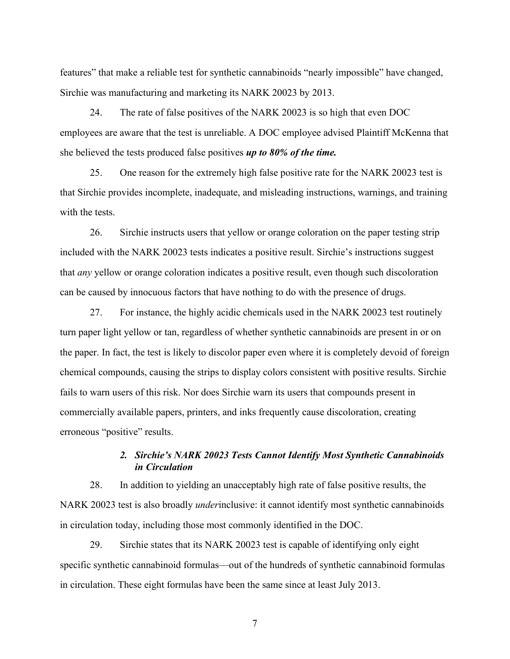features" that make a reliable test for synthetic cannabinoids "nearly impossible" have changed, Sirchie was manufacturing and marketing its NARK 20023 by 2013.

24. The rate of false positives of the NARK 20023 is so high that even DOC employees are aware that the test is unreliable. A DOC employee advised Plaintiff McKenna that she believed the tests produced false positives *up to 80% of the time.*

25. One reason for the extremely high false positive rate for the NARK 20023 test is that Sirchie provides incomplete, inadequate, and misleading instructions, warnings, and training with the tests.

26. Sirchie instructs users that yellow or orange coloration on the paper testing strip included with the NARK 20023 tests indicates a positive result. Sirchie's instructions suggest that *any* yellow or orange coloration indicates a positive result, even though such discoloration can be caused by innocuous factors that have nothing to do with the presence of drugs.

27. For instance, the highly acidic chemicals used in the NARK 20023 test routinely turn paper light yellow or tan, regardless of whether synthetic cannabinoids are present in or on the paper. In fact, the test is likely to discolor paper even where it is completely devoid of foreign chemical compounds, causing the strips to display colors consistent with positive results. Sirchie fails to warn users of this risk. Nor does Sirchie warn its users that compounds present in commercially available papers, printers, and inks frequently cause discoloration, creating erroneous "positive" results.

## *2. Sirchie's NARK 20023 Tests Cannot Identify Most Synthetic Cannabinoids in Circulation*

28. In addition to yielding an unacceptably high rate of false positive results, the NARK 20023 test is also broadly *under*inclusive: it cannot identify most synthetic cannabinoids in circulation today, including those most commonly identified in the DOC.

29. Sirchie states that its NARK 20023 test is capable of identifying only eight specific synthetic cannabinoid formulas—out of the hundreds of synthetic cannabinoid formulas in circulation. These eight formulas have been the same since at least July 2013.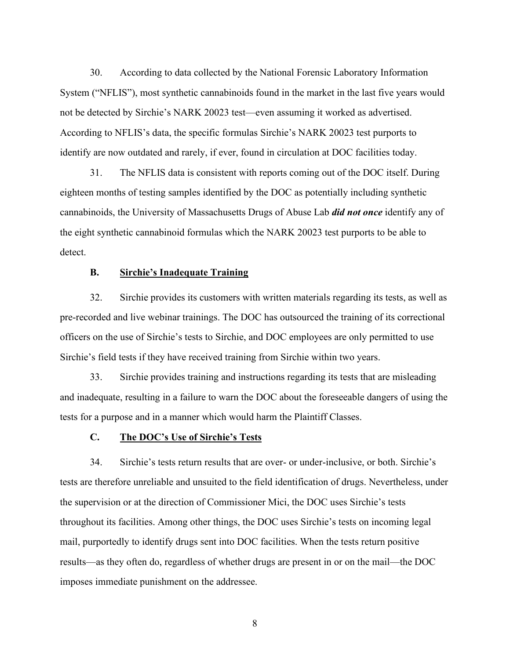30. According to data collected by the National Forensic Laboratory Information System ("NFLIS"), most synthetic cannabinoids found in the market in the last five years would not be detected by Sirchie's NARK 20023 test—even assuming it worked as advertised. According to NFLIS's data, the specific formulas Sirchie's NARK 20023 test purports to identify are now outdated and rarely, if ever, found in circulation at DOC facilities today.

31. The NFLIS data is consistent with reports coming out of the DOC itself. During eighteen months of testing samples identified by the DOC as potentially including synthetic cannabinoids, the University of Massachusetts Drugs of Abuse Lab *did not once* identify any of the eight synthetic cannabinoid formulas which the NARK 20023 test purports to be able to detect.

### **B. Sirchie's Inadequate Training**

32. Sirchie provides its customers with written materials regarding its tests, as well as pre-recorded and live webinar trainings. The DOC has outsourced the training of its correctional officers on the use of Sirchie's tests to Sirchie, and DOC employees are only permitted to use Sirchie's field tests if they have received training from Sirchie within two years.

33. Sirchie provides training and instructions regarding its tests that are misleading and inadequate, resulting in a failure to warn the DOC about the foreseeable dangers of using the tests for a purpose and in a manner which would harm the Plaintiff Classes.

#### **C. The DOC's Use of Sirchie's Tests**

34. Sirchie's tests return results that are over- or under-inclusive, or both. Sirchie's tests are therefore unreliable and unsuited to the field identification of drugs. Nevertheless, under the supervision or at the direction of Commissioner Mici, the DOC uses Sirchie's tests throughout its facilities. Among other things, the DOC uses Sirchie's tests on incoming legal mail, purportedly to identify drugs sent into DOC facilities. When the tests return positive results—as they often do, regardless of whether drugs are present in or on the mail—the DOC imposes immediate punishment on the addressee.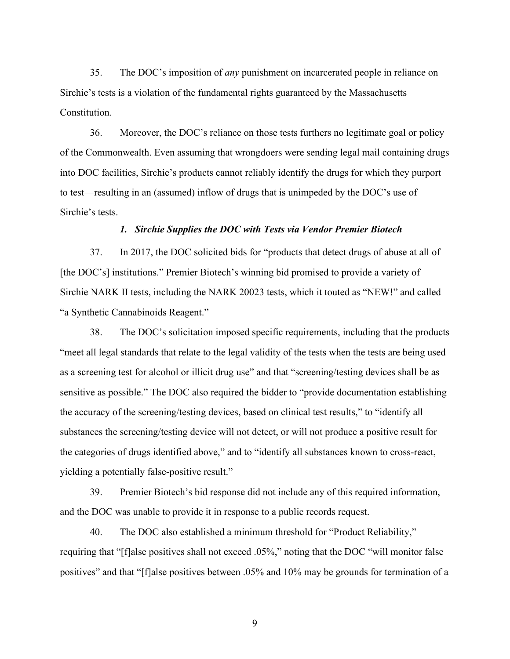35. The DOC's imposition of *any* punishment on incarcerated people in reliance on Sirchie's tests is a violation of the fundamental rights guaranteed by the Massachusetts Constitution.

36. Moreover, the DOC's reliance on those tests furthers no legitimate goal or policy of the Commonwealth. Even assuming that wrongdoers were sending legal mail containing drugs into DOC facilities, Sirchie's products cannot reliably identify the drugs for which they purport to test—resulting in an (assumed) inflow of drugs that is unimpeded by the DOC's use of Sirchie's tests.

## *1. Sirchie Supplies the DOC with Tests via Vendor Premier Biotech*

37. In 2017, the DOC solicited bids for "products that detect drugs of abuse at all of [the DOC's] institutions." Premier Biotech's winning bid promised to provide a variety of Sirchie NARK II tests, including the NARK 20023 tests, which it touted as "NEW!" and called "a Synthetic Cannabinoids Reagent."

38. The DOC's solicitation imposed specific requirements, including that the products "meet all legal standards that relate to the legal validity of the tests when the tests are being used as a screening test for alcohol or illicit drug use" and that "screening/testing devices shall be as sensitive as possible." The DOC also required the bidder to "provide documentation establishing the accuracy of the screening/testing devices, based on clinical test results," to "identify all substances the screening/testing device will not detect, or will not produce a positive result for the categories of drugs identified above," and to "identify all substances known to cross-react, yielding a potentially false-positive result."

39. Premier Biotech's bid response did not include any of this required information, and the DOC was unable to provide it in response to a public records request.

40. The DOC also established a minimum threshold for "Product Reliability," requiring that "[f]alse positives shall not exceed .05%," noting that the DOC "will monitor false positives" and that "[f]alse positives between .05% and 10% may be grounds for termination of a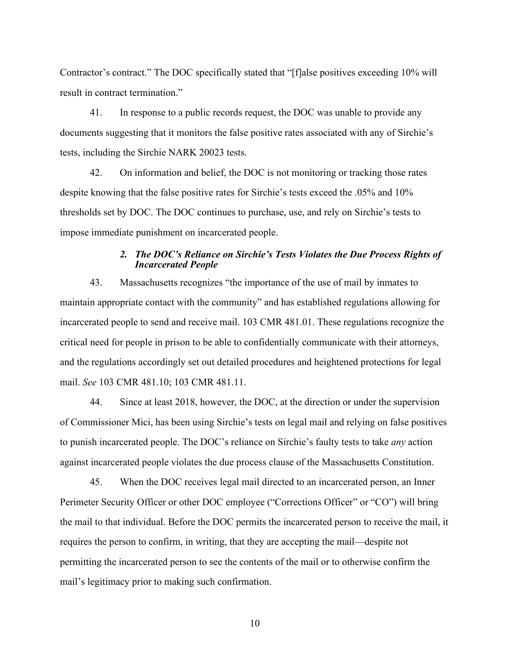Contractor's contract." The DOC specifically stated that "[f]alse positives exceeding 10% will result in contract termination."

41. In response to a public records request, the DOC was unable to provide any documents suggesting that it monitors the false positive rates associated with any of Sirchie's tests, including the Sirchie NARK 20023 tests.

42. On information and belief, the DOC is not monitoring or tracking those rates despite knowing that the false positive rates for Sirchie's tests exceed the .05% and 10% thresholds set by DOC. The DOC continues to purchase, use, and rely on Sirchie's tests to impose immediate punishment on incarcerated people.

## *2. The DOC's Reliance on Sirchie's Tests Violates the Due Process Rights of Incarcerated People*

43. Massachusetts recognizes "the importance of the use of mail by inmates to maintain appropriate contact with the community" and has established regulations allowing for incarcerated people to send and receive mail. 103 CMR 481.01. These regulations recognize the critical need for people in prison to be able to confidentially communicate with their attorneys, and the regulations accordingly set out detailed procedures and heightened protections for legal mail. *See* 103 CMR 481.10; 103 CMR 481.11.

44. Since at least 2018, however, the DOC, at the direction or under the supervision of Commissioner Mici, has been using Sirchie's tests on legal mail and relying on false positives to punish incarcerated people. The DOC's reliance on Sirchie's faulty tests to take *any* action against incarcerated people violates the due process clause of the Massachusetts Constitution.

45. When the DOC receives legal mail directed to an incarcerated person, an Inner Perimeter Security Officer or other DOC employee ("Corrections Officer" or "CO") will bring the mail to that individual. Before the DOC permits the incarcerated person to receive the mail, it requires the person to confirm, in writing, that they are accepting the mail—despite not permitting the incarcerated person to see the contents of the mail or to otherwise confirm the mail's legitimacy prior to making such confirmation.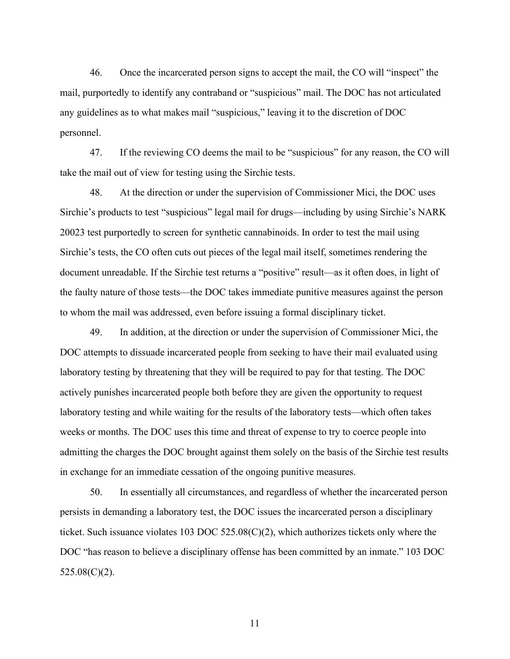46. Once the incarcerated person signs to accept the mail, the CO will "inspect" the mail, purportedly to identify any contraband or "suspicious" mail. The DOC has not articulated any guidelines as to what makes mail "suspicious," leaving it to the discretion of DOC personnel.

47. If the reviewing CO deems the mail to be "suspicious" for any reason, the CO will take the mail out of view for testing using the Sirchie tests.

48. At the direction or under the supervision of Commissioner Mici, the DOC uses Sirchie's products to test "suspicious" legal mail for drugs—including by using Sirchie's NARK 20023 test purportedly to screen for synthetic cannabinoids. In order to test the mail using Sirchie's tests, the CO often cuts out pieces of the legal mail itself, sometimes rendering the document unreadable. If the Sirchie test returns a "positive" result—as it often does, in light of the faulty nature of those tests—the DOC takes immediate punitive measures against the person to whom the mail was addressed, even before issuing a formal disciplinary ticket.

49. In addition, at the direction or under the supervision of Commissioner Mici, the DOC attempts to dissuade incarcerated people from seeking to have their mail evaluated using laboratory testing by threatening that they will be required to pay for that testing. The DOC actively punishes incarcerated people both before they are given the opportunity to request laboratory testing and while waiting for the results of the laboratory tests—which often takes weeks or months. The DOC uses this time and threat of expense to try to coerce people into admitting the charges the DOC brought against them solely on the basis of the Sirchie test results in exchange for an immediate cessation of the ongoing punitive measures.

50. In essentially all circumstances, and regardless of whether the incarcerated person persists in demanding a laboratory test, the DOC issues the incarcerated person a disciplinary ticket. Such issuance violates 103 DOC 525.08(C)(2), which authorizes tickets only where the DOC "has reason to believe a disciplinary offense has been committed by an inmate." 103 DOC 525.08(C)(2).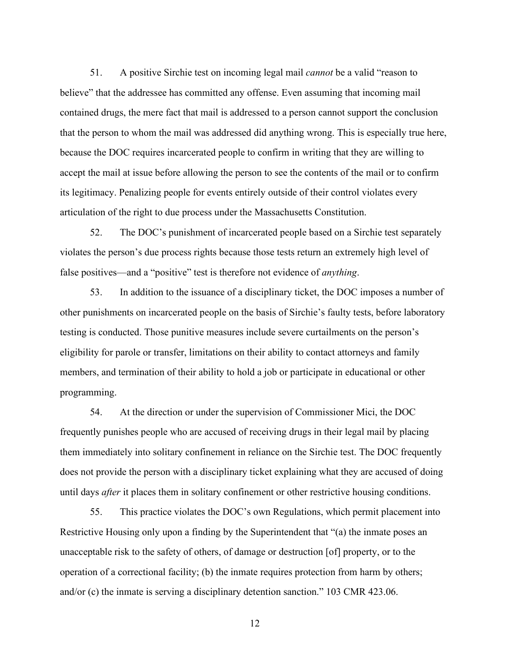51. A positive Sirchie test on incoming legal mail *cannot* be a valid "reason to believe" that the addressee has committed any offense. Even assuming that incoming mail contained drugs, the mere fact that mail is addressed to a person cannot support the conclusion that the person to whom the mail was addressed did anything wrong. This is especially true here, because the DOC requires incarcerated people to confirm in writing that they are willing to accept the mail at issue before allowing the person to see the contents of the mail or to confirm its legitimacy. Penalizing people for events entirely outside of their control violates every articulation of the right to due process under the Massachusetts Constitution.

52. The DOC's punishment of incarcerated people based on a Sirchie test separately violates the person's due process rights because those tests return an extremely high level of false positives—and a "positive" test is therefore not evidence of *anything*.

53. In addition to the issuance of a disciplinary ticket, the DOC imposes a number of other punishments on incarcerated people on the basis of Sirchie's faulty tests, before laboratory testing is conducted. Those punitive measures include severe curtailments on the person's eligibility for parole or transfer, limitations on their ability to contact attorneys and family members, and termination of their ability to hold a job or participate in educational or other programming.

54. At the direction or under the supervision of Commissioner Mici, the DOC frequently punishes people who are accused of receiving drugs in their legal mail by placing them immediately into solitary confinement in reliance on the Sirchie test. The DOC frequently does not provide the person with a disciplinary ticket explaining what they are accused of doing until days *after* it places them in solitary confinement or other restrictive housing conditions.

55. This practice violates the DOC's own Regulations, which permit placement into Restrictive Housing only upon a finding by the Superintendent that "(a) the inmate poses an unacceptable risk to the safety of others, of damage or destruction [of] property, or to the operation of a correctional facility; (b) the inmate requires protection from harm by others; and/or (c) the inmate is serving a disciplinary detention sanction." 103 CMR 423.06.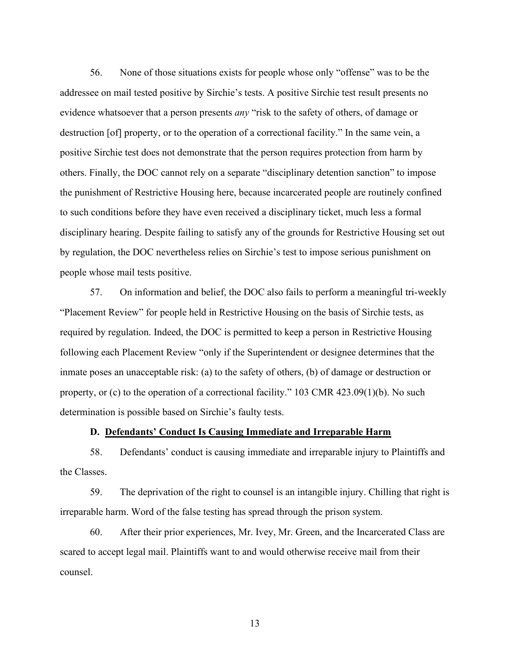56. None of those situations exists for people whose only "offense" was to be the addressee on mail tested positive by Sirchie's tests. A positive Sirchie test result presents no evidence whatsoever that a person presents *any* "risk to the safety of others, of damage or destruction [of] property, or to the operation of a correctional facility." In the same vein, a positive Sirchie test does not demonstrate that the person requires protection from harm by others. Finally, the DOC cannot rely on a separate "disciplinary detention sanction" to impose the punishment of Restrictive Housing here, because incarcerated people are routinely confined to such conditions before they have even received a disciplinary ticket, much less a formal disciplinary hearing. Despite failing to satisfy any of the grounds for Restrictive Housing set out by regulation, the DOC nevertheless relies on Sirchie's test to impose serious punishment on people whose mail tests positive.

57. On information and belief, the DOC also fails to perform a meaningful tri-weekly "Placement Review" for people held in Restrictive Housing on the basis of Sirchie tests, as required by regulation. Indeed, the DOC is permitted to keep a person in Restrictive Housing following each Placement Review "only if the Superintendent or designee determines that the inmate poses an unacceptable risk: (a) to the safety of others, (b) of damage or destruction or property, or (c) to the operation of a correctional facility." 103 CMR 423.09(1)(b). No such determination is possible based on Sirchie's faulty tests.

## **D. Defendants' Conduct Is Causing Immediate and Irreparable Harm**

58. Defendants' conduct is causing immediate and irreparable injury to Plaintiffs and the Classes.

59. The deprivation of the right to counsel is an intangible injury. Chilling that right is irreparable harm. Word of the false testing has spread through the prison system.

60. After their prior experiences, Mr. Ivey, Mr. Green, and the Incarcerated Class are scared to accept legal mail. Plaintiffs want to and would otherwise receive mail from their counsel.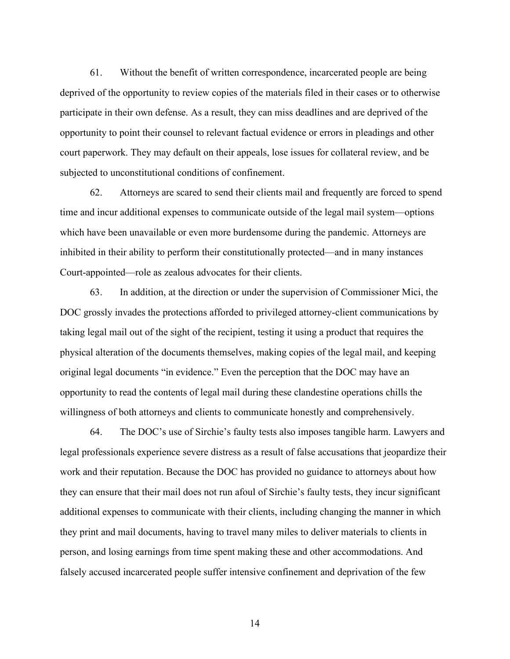61. Without the benefit of written correspondence, incarcerated people are being deprived of the opportunity to review copies of the materials filed in their cases or to otherwise participate in their own defense. As a result, they can miss deadlines and are deprived of the opportunity to point their counsel to relevant factual evidence or errors in pleadings and other court paperwork. They may default on their appeals, lose issues for collateral review, and be subjected to unconstitutional conditions of confinement.

62. Attorneys are scared to send their clients mail and frequently are forced to spend time and incur additional expenses to communicate outside of the legal mail system—options which have been unavailable or even more burdensome during the pandemic. Attorneys are inhibited in their ability to perform their constitutionally protected—and in many instances Court-appointed—role as zealous advocates for their clients.

63. In addition, at the direction or under the supervision of Commissioner Mici, the DOC grossly invades the protections afforded to privileged attorney-client communications by taking legal mail out of the sight of the recipient, testing it using a product that requires the physical alteration of the documents themselves, making copies of the legal mail, and keeping original legal documents "in evidence." Even the perception that the DOC may have an opportunity to read the contents of legal mail during these clandestine operations chills the willingness of both attorneys and clients to communicate honestly and comprehensively.

64. The DOC's use of Sirchie's faulty tests also imposes tangible harm. Lawyers and legal professionals experience severe distress as a result of false accusations that jeopardize their work and their reputation. Because the DOC has provided no guidance to attorneys about how they can ensure that their mail does not run afoul of Sirchie's faulty tests, they incur significant additional expenses to communicate with their clients, including changing the manner in which they print and mail documents, having to travel many miles to deliver materials to clients in person, and losing earnings from time spent making these and other accommodations. And falsely accused incarcerated people suffer intensive confinement and deprivation of the few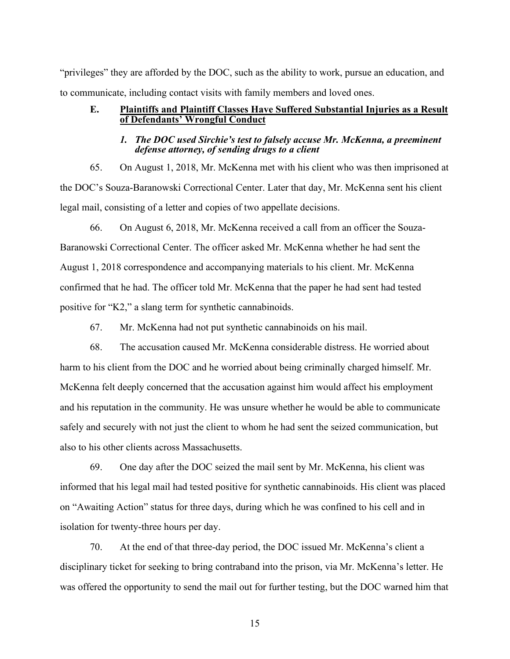"privileges" they are afforded by the DOC, such as the ability to work, pursue an education, and to communicate, including contact visits with family members and loved ones.

### **E. Plaintiffs and Plaintiff Classes Have Suffered Substantial Injuries as a Result of Defendants' Wrongful Conduct**

## *1. The DOC used Sirchie's test to falsely accuse Mr. McKenna, a preeminent defense attorney, of sending drugs to a client*

65. On August 1, 2018, Mr. McKenna met with his client who was then imprisoned at the DOC's Souza-Baranowski Correctional Center. Later that day, Mr. McKenna sent his client legal mail, consisting of a letter and copies of two appellate decisions.

66. On August 6, 2018, Mr. McKenna received a call from an officer the Souza-Baranowski Correctional Center. The officer asked Mr. McKenna whether he had sent the August 1, 2018 correspondence and accompanying materials to his client. Mr. McKenna confirmed that he had. The officer told Mr. McKenna that the paper he had sent had tested positive for "K2," a slang term for synthetic cannabinoids.

67. Mr. McKenna had not put synthetic cannabinoids on his mail.

68. The accusation caused Mr. McKenna considerable distress. He worried about harm to his client from the DOC and he worried about being criminally charged himself. Mr. McKenna felt deeply concerned that the accusation against him would affect his employment and his reputation in the community. He was unsure whether he would be able to communicate safely and securely with not just the client to whom he had sent the seized communication, but also to his other clients across Massachusetts.

69. One day after the DOC seized the mail sent by Mr. McKenna, his client was informed that his legal mail had tested positive for synthetic cannabinoids. His client was placed on "Awaiting Action" status for three days, during which he was confined to his cell and in isolation for twenty-three hours per day.

70. At the end of that three-day period, the DOC issued Mr. McKenna's client a disciplinary ticket for seeking to bring contraband into the prison, via Mr. McKenna's letter. He was offered the opportunity to send the mail out for further testing, but the DOC warned him that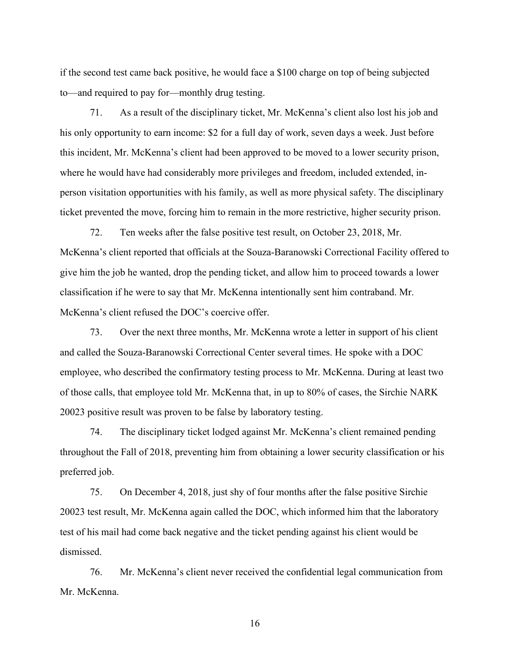if the second test came back positive, he would face a \$100 charge on top of being subjected to—and required to pay for—monthly drug testing.

71. As a result of the disciplinary ticket, Mr. McKenna's client also lost his job and his only opportunity to earn income: \$2 for a full day of work, seven days a week. Just before this incident, Mr. McKenna's client had been approved to be moved to a lower security prison, where he would have had considerably more privileges and freedom, included extended, inperson visitation opportunities with his family, as well as more physical safety. The disciplinary ticket prevented the move, forcing him to remain in the more restrictive, higher security prison.

72. Ten weeks after the false positive test result, on October 23, 2018, Mr. McKenna's client reported that officials at the Souza-Baranowski Correctional Facility offered to give him the job he wanted, drop the pending ticket, and allow him to proceed towards a lower classification if he were to say that Mr. McKenna intentionally sent him contraband. Mr. McKenna's client refused the DOC's coercive offer.

73. Over the next three months, Mr. McKenna wrote a letter in support of his client and called the Souza-Baranowski Correctional Center several times. He spoke with a DOC employee, who described the confirmatory testing process to Mr. McKenna. During at least two of those calls, that employee told Mr. McKenna that, in up to 80% of cases, the Sirchie NARK 20023 positive result was proven to be false by laboratory testing.

74. The disciplinary ticket lodged against Mr. McKenna's client remained pending throughout the Fall of 2018, preventing him from obtaining a lower security classification or his preferred job.

75. On December 4, 2018, just shy of four months after the false positive Sirchie 20023 test result, Mr. McKenna again called the DOC, which informed him that the laboratory test of his mail had come back negative and the ticket pending against his client would be dismissed.

76. Mr. McKenna's client never received the confidential legal communication from Mr. McKenna.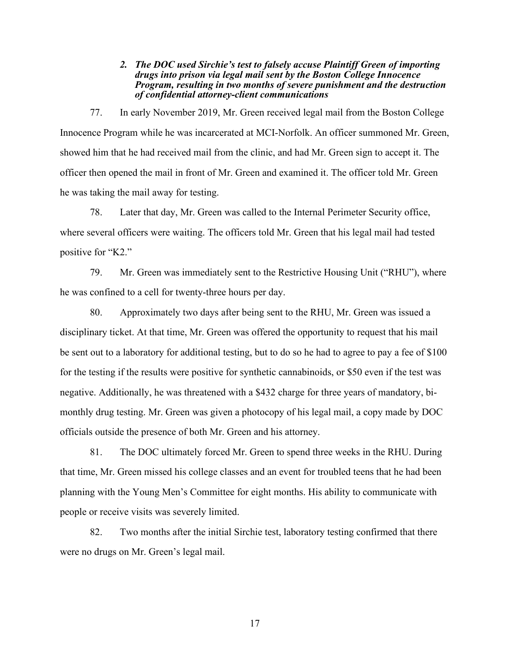### *2. The DOC used Sirchie's test to falsely accuse Plaintiff Green of importing drugs into prison via legal mail sent by the Boston College Innocence Program, resulting in two months of severe punishment and the destruction of confidential attorney-client communications*

77. In early November 2019, Mr. Green received legal mail from the Boston College Innocence Program while he was incarcerated at MCI-Norfolk. An officer summoned Mr. Green, showed him that he had received mail from the clinic, and had Mr. Green sign to accept it. The officer then opened the mail in front of Mr. Green and examined it. The officer told Mr. Green he was taking the mail away for testing.

78. Later that day, Mr. Green was called to the Internal Perimeter Security office, where several officers were waiting. The officers told Mr. Green that his legal mail had tested positive for "K2."

79. Mr. Green was immediately sent to the Restrictive Housing Unit ("RHU"), where he was confined to a cell for twenty-three hours per day.

80. Approximately two days after being sent to the RHU, Mr. Green was issued a disciplinary ticket. At that time, Mr. Green was offered the opportunity to request that his mail be sent out to a laboratory for additional testing, but to do so he had to agree to pay a fee of \$100 for the testing if the results were positive for synthetic cannabinoids, or \$50 even if the test was negative. Additionally, he was threatened with a \$432 charge for three years of mandatory, bimonthly drug testing. Mr. Green was given a photocopy of his legal mail, a copy made by DOC officials outside the presence of both Mr. Green and his attorney.

81. The DOC ultimately forced Mr. Green to spend three weeks in the RHU. During that time, Mr. Green missed his college classes and an event for troubled teens that he had been planning with the Young Men's Committee for eight months. His ability to communicate with people or receive visits was severely limited.

82. Two months after the initial Sirchie test, laboratory testing confirmed that there were no drugs on Mr. Green's legal mail.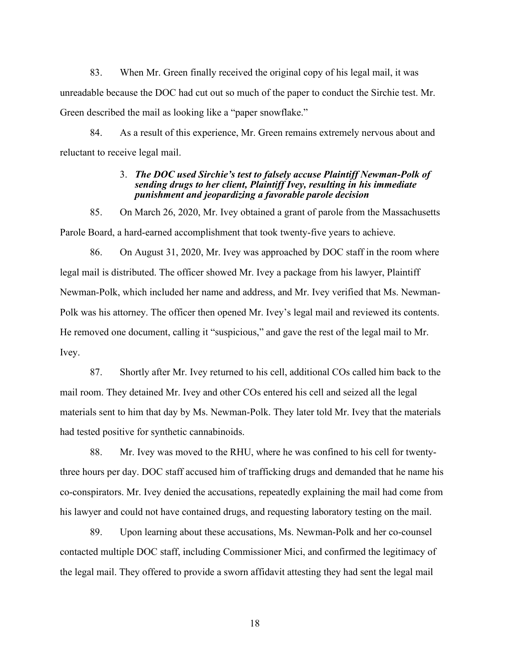83. When Mr. Green finally received the original copy of his legal mail, it was unreadable because the DOC had cut out so much of the paper to conduct the Sirchie test. Mr. Green described the mail as looking like a "paper snowflake."

84. As a result of this experience, Mr. Green remains extremely nervous about and reluctant to receive legal mail.

## 3. *The DOC used Sirchie's test to falsely accuse Plaintiff Newman-Polk of sending drugs to her client, Plaintiff Ivey, resulting in his immediate punishment and jeopardizing a favorable parole decision*

85. On March 26, 2020, Mr. Ivey obtained a grant of parole from the Massachusetts Parole Board, a hard-earned accomplishment that took twenty-five years to achieve.

86. On August 31, 2020, Mr. Ivey was approached by DOC staff in the room where legal mail is distributed. The officer showed Mr. Ivey a package from his lawyer, Plaintiff Newman-Polk, which included her name and address, and Mr. Ivey verified that Ms. Newman-Polk was his attorney. The officer then opened Mr. Ivey's legal mail and reviewed its contents. He removed one document, calling it "suspicious," and gave the rest of the legal mail to Mr. Ivey.

87. Shortly after Mr. Ivey returned to his cell, additional COs called him back to the mail room. They detained Mr. Ivey and other COs entered his cell and seized all the legal materials sent to him that day by Ms. Newman-Polk. They later told Mr. Ivey that the materials had tested positive for synthetic cannabinoids.

88. Mr. Ivey was moved to the RHU, where he was confined to his cell for twentythree hours per day. DOC staff accused him of trafficking drugs and demanded that he name his co-conspirators. Mr. Ivey denied the accusations, repeatedly explaining the mail had come from his lawyer and could not have contained drugs, and requesting laboratory testing on the mail.

89. Upon learning about these accusations, Ms. Newman-Polk and her co-counsel contacted multiple DOC staff, including Commissioner Mici, and confirmed the legitimacy of the legal mail. They offered to provide a sworn affidavit attesting they had sent the legal mail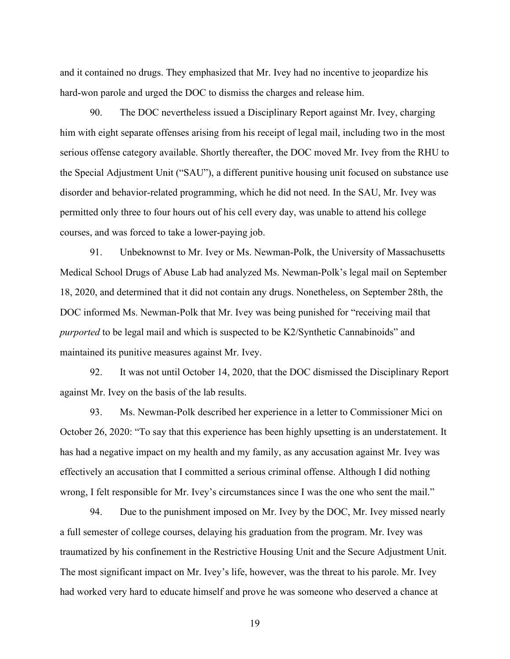and it contained no drugs. They emphasized that Mr. Ivey had no incentive to jeopardize his hard-won parole and urged the DOC to dismiss the charges and release him.

90. The DOC nevertheless issued a Disciplinary Report against Mr. Ivey, charging him with eight separate offenses arising from his receipt of legal mail, including two in the most serious offense category available. Shortly thereafter, the DOC moved Mr. Ivey from the RHU to the Special Adjustment Unit ("SAU"), a different punitive housing unit focused on substance use disorder and behavior-related programming, which he did not need. In the SAU, Mr. Ivey was permitted only three to four hours out of his cell every day, was unable to attend his college courses, and was forced to take a lower-paying job.

91. Unbeknownst to Mr. Ivey or Ms. Newman-Polk, the University of Massachusetts Medical School Drugs of Abuse Lab had analyzed Ms. Newman-Polk's legal mail on September 18, 2020, and determined that it did not contain any drugs. Nonetheless, on September 28th, the DOC informed Ms. Newman-Polk that Mr. Ivey was being punished for "receiving mail that *purported* to be legal mail and which is suspected to be K2/Synthetic Cannabinoids" and maintained its punitive measures against Mr. Ivey.

92. It was not until October 14, 2020, that the DOC dismissed the Disciplinary Report against Mr. Ivey on the basis of the lab results.

93. Ms. Newman-Polk described her experience in a letter to Commissioner Mici on October 26, 2020: "To say that this experience has been highly upsetting is an understatement. It has had a negative impact on my health and my family, as any accusation against Mr. Ivey was effectively an accusation that I committed a serious criminal offense. Although I did nothing wrong, I felt responsible for Mr. Ivey's circumstances since I was the one who sent the mail."

94. Due to the punishment imposed on Mr. Ivey by the DOC, Mr. Ivey missed nearly a full semester of college courses, delaying his graduation from the program. Mr. Ivey was traumatized by his confinement in the Restrictive Housing Unit and the Secure Adjustment Unit. The most significant impact on Mr. Ivey's life, however, was the threat to his parole. Mr. Ivey had worked very hard to educate himself and prove he was someone who deserved a chance at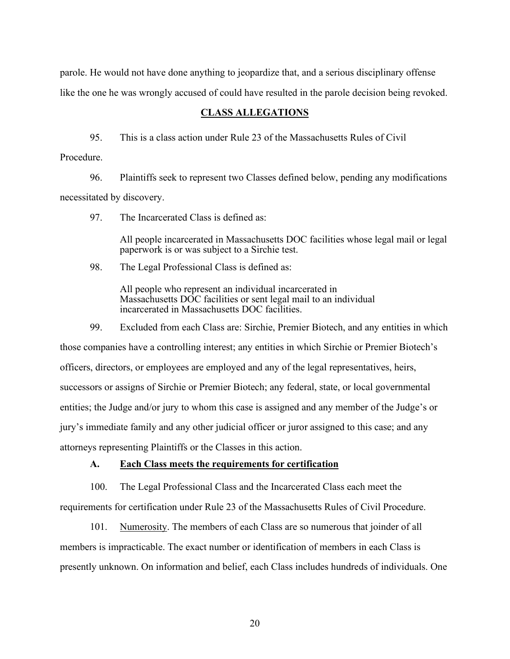parole. He would not have done anything to jeopardize that, and a serious disciplinary offense like the one he was wrongly accused of could have resulted in the parole decision being revoked.

## **CLASS ALLEGATIONS**

95. This is a class action under Rule 23 of the Massachusetts Rules of Civil

Procedure.

96. Plaintiffs seek to represent two Classes defined below, pending any modifications necessitated by discovery.

97. The Incarcerated Class is defined as:

All people incarcerated in Massachusetts DOC facilities whose legal mail or legal paperwork is or was subject to a Sirchie test.

98. The Legal Professional Class is defined as:

All people who represent an individual incarcerated in Massachusetts DOC facilities or sent legal mail to an individual incarcerated in Massachusetts DOC facilities.

99. Excluded from each Class are: Sirchie, Premier Biotech, and any entities in which those companies have a controlling interest; any entities in which Sirchie or Premier Biotech's officers, directors, or employees are employed and any of the legal representatives, heirs, successors or assigns of Sirchie or Premier Biotech; any federal, state, or local governmental entities; the Judge and/or jury to whom this case is assigned and any member of the Judge's or jury's immediate family and any other judicial officer or juror assigned to this case; and any attorneys representing Plaintiffs or the Classes in this action.

## **A. Each Class meets the requirements for certification**

100. The Legal Professional Class and the Incarcerated Class each meet the requirements for certification under Rule 23 of the Massachusetts Rules of Civil Procedure.

101. Numerosity. The members of each Class are so numerous that joinder of all members is impracticable. The exact number or identification of members in each Class is presently unknown. On information and belief, each Class includes hundreds of individuals. One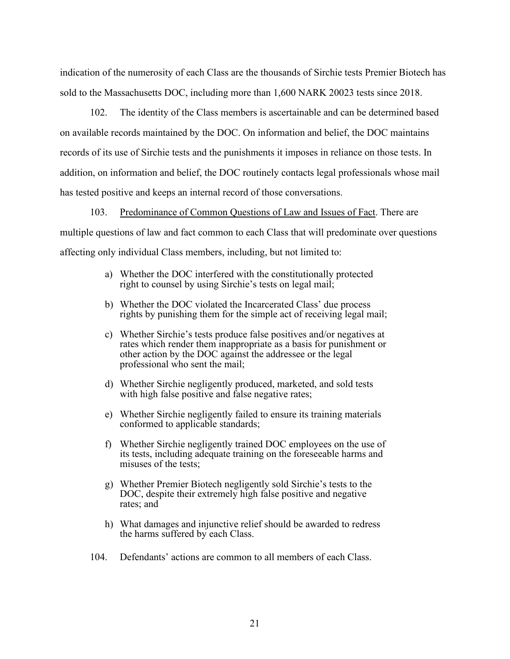indication of the numerosity of each Class are the thousands of Sirchie tests Premier Biotech has sold to the Massachusetts DOC, including more than 1,600 NARK 20023 tests since 2018.

102. The identity of the Class members is ascertainable and can be determined based on available records maintained by the DOC. On information and belief, the DOC maintains records of its use of Sirchie tests and the punishments it imposes in reliance on those tests. In addition, on information and belief, the DOC routinely contacts legal professionals whose mail has tested positive and keeps an internal record of those conversations.

103. Predominance of Common Questions of Law and Issues of Fact. There are multiple questions of law and fact common to each Class that will predominate over questions affecting only individual Class members, including, but not limited to:

- a) Whether the DOC interfered with the constitutionally protected right to counsel by using Sirchie's tests on legal mail;
- b) Whether the DOC violated the Incarcerated Class' due process rights by punishing them for the simple act of receiving legal mail;
- c) Whether Sirchie's tests produce false positives and/or negatives at rates which render them inappropriate as a basis for punishment or other action by the DOC against the addressee or the legal professional who sent the mail;
- d) Whether Sirchie negligently produced, marketed, and sold tests with high false positive and false negative rates;
- e) Whether Sirchie negligently failed to ensure its training materials conformed to applicable standards;
- f) Whether Sirchie negligently trained DOC employees on the use of its tests, including adequate training on the foreseeable harms and misuses of the tests;
- g) Whether Premier Biotech negligently sold Sirchie's tests to the DOC, despite their extremely high false positive and negative rates; and
- h) What damages and injunctive relief should be awarded to redress the harms suffered by each Class.
- 104. Defendants' actions are common to all members of each Class.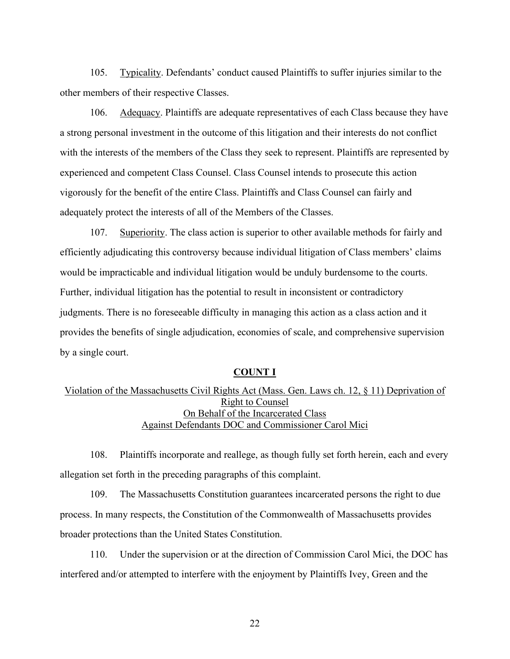105. Typicality. Defendants' conduct caused Plaintiffs to suffer injuries similar to the other members of their respective Classes.

106. Adequacy. Plaintiffs are adequate representatives of each Class because they have a strong personal investment in the outcome of this litigation and their interests do not conflict with the interests of the members of the Class they seek to represent. Plaintiffs are represented by experienced and competent Class Counsel. Class Counsel intends to prosecute this action vigorously for the benefit of the entire Class. Plaintiffs and Class Counsel can fairly and adequately protect the interests of all of the Members of the Classes.

107. Superiority. The class action is superior to other available methods for fairly and efficiently adjudicating this controversy because individual litigation of Class members' claims would be impracticable and individual litigation would be unduly burdensome to the courts. Further, individual litigation has the potential to result in inconsistent or contradictory judgments. There is no foreseeable difficulty in managing this action as a class action and it provides the benefits of single adjudication, economies of scale, and comprehensive supervision by a single court.

## **COUNT I**

# Violation of the Massachusetts Civil Rights Act (Mass. Gen. Laws ch. 12, § 11) Deprivation of Right to Counsel On Behalf of the Incarcerated Class Against Defendants DOC and Commissioner Carol Mici

108. Plaintiffs incorporate and reallege, as though fully set forth herein, each and every allegation set forth in the preceding paragraphs of this complaint.

109. The Massachusetts Constitution guarantees incarcerated persons the right to due process. In many respects, the Constitution of the Commonwealth of Massachusetts provides broader protections than the United States Constitution.

110. Under the supervision or at the direction of Commission Carol Mici, the DOC has interfered and/or attempted to interfere with the enjoyment by Plaintiffs Ivey, Green and the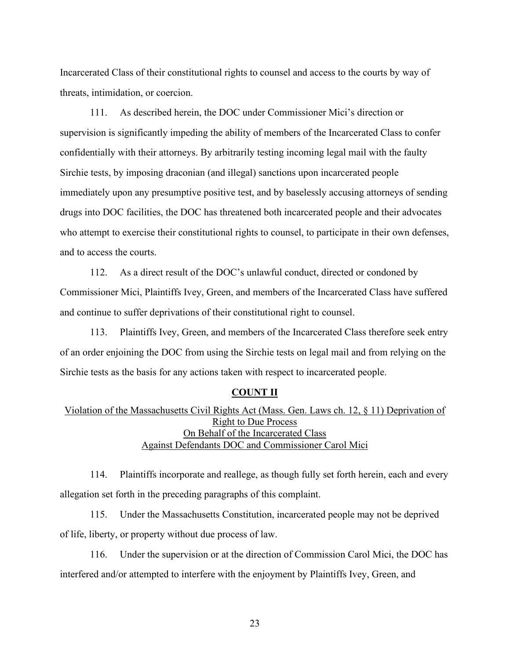Incarcerated Class of their constitutional rights to counsel and access to the courts by way of threats, intimidation, or coercion.

111. As described herein, the DOC under Commissioner Mici's direction or supervision is significantly impeding the ability of members of the Incarcerated Class to confer confidentially with their attorneys. By arbitrarily testing incoming legal mail with the faulty Sirchie tests, by imposing draconian (and illegal) sanctions upon incarcerated people immediately upon any presumptive positive test, and by baselessly accusing attorneys of sending drugs into DOC facilities, the DOC has threatened both incarcerated people and their advocates who attempt to exercise their constitutional rights to counsel, to participate in their own defenses, and to access the courts.

112. As a direct result of the DOC's unlawful conduct, directed or condoned by Commissioner Mici, Plaintiffs Ivey, Green, and members of the Incarcerated Class have suffered and continue to suffer deprivations of their constitutional right to counsel.

113. Plaintiffs Ivey, Green, and members of the Incarcerated Class therefore seek entry of an order enjoining the DOC from using the Sirchie tests on legal mail and from relying on the Sirchie tests as the basis for any actions taken with respect to incarcerated people.

#### **COUNT II**

# Violation of the Massachusetts Civil Rights Act (Mass. Gen. Laws ch. 12, § 11) Deprivation of Right to Due Process On Behalf of the Incarcerated Class Against Defendants DOC and Commissioner Carol Mici

114. Plaintiffs incorporate and reallege, as though fully set forth herein, each and every allegation set forth in the preceding paragraphs of this complaint.

115. Under the Massachusetts Constitution, incarcerated people may not be deprived of life, liberty, or property without due process of law.

116. Under the supervision or at the direction of Commission Carol Mici, the DOC has interfered and/or attempted to interfere with the enjoyment by Plaintiffs Ivey, Green, and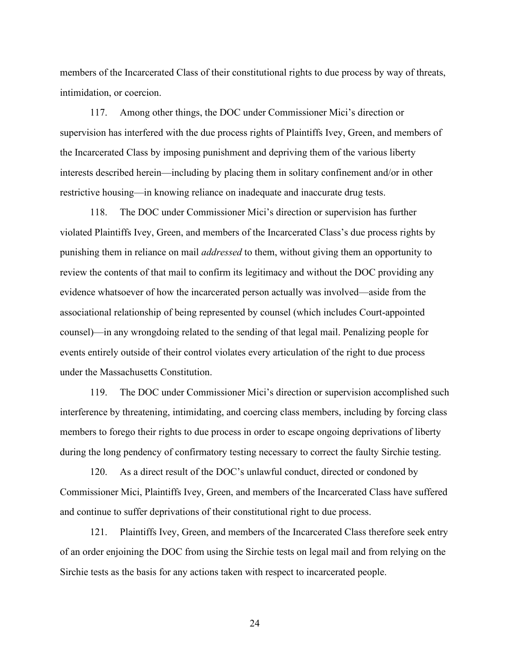members of the Incarcerated Class of their constitutional rights to due process by way of threats, intimidation, or coercion.

117. Among other things, the DOC under Commissioner Mici's direction or supervision has interfered with the due process rights of Plaintiffs Ivey, Green, and members of the Incarcerated Class by imposing punishment and depriving them of the various liberty interests described herein—including by placing them in solitary confinement and/or in other restrictive housing—in knowing reliance on inadequate and inaccurate drug tests.

118. The DOC under Commissioner Mici's direction or supervision has further violated Plaintiffs Ivey, Green, and members of the Incarcerated Class's due process rights by punishing them in reliance on mail *addressed* to them, without giving them an opportunity to review the contents of that mail to confirm its legitimacy and without the DOC providing any evidence whatsoever of how the incarcerated person actually was involved—aside from the associational relationship of being represented by counsel (which includes Court-appointed counsel)—in any wrongdoing related to the sending of that legal mail. Penalizing people for events entirely outside of their control violates every articulation of the right to due process under the Massachusetts Constitution.

119. The DOC under Commissioner Mici's direction or supervision accomplished such interference by threatening, intimidating, and coercing class members, including by forcing class members to forego their rights to due process in order to escape ongoing deprivations of liberty during the long pendency of confirmatory testing necessary to correct the faulty Sirchie testing.

120. As a direct result of the DOC's unlawful conduct, directed or condoned by Commissioner Mici, Plaintiffs Ivey, Green, and members of the Incarcerated Class have suffered and continue to suffer deprivations of their constitutional right to due process.

121. Plaintiffs Ivey, Green, and members of the Incarcerated Class therefore seek entry of an order enjoining the DOC from using the Sirchie tests on legal mail and from relying on the Sirchie tests as the basis for any actions taken with respect to incarcerated people.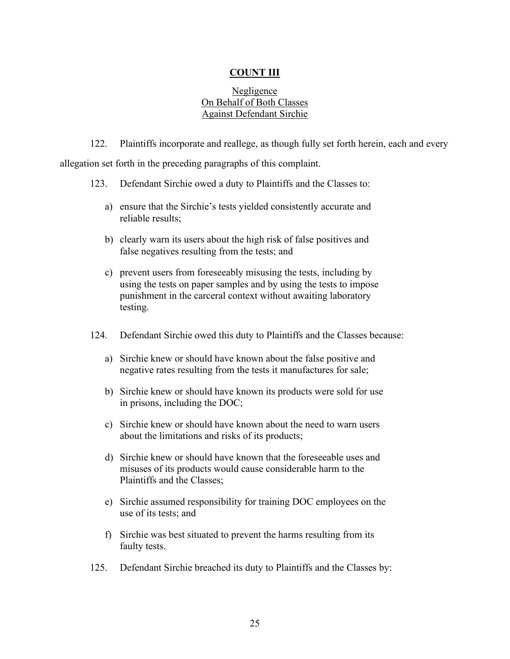## **COUNT III**

## Negligence On Behalf of Both Classes Against Defendant Sirchie

122. Plaintiffs incorporate and reallege, as though fully set forth herein, each and every allegation set forth in the preceding paragraphs of this complaint.

- 123. Defendant Sirchie owed a duty to Plaintiffs and the Classes to:
	- a) ensure that the Sirchie's tests yielded consistently accurate and reliable results;
	- b) clearly warn its users about the high risk of false positives and false negatives resulting from the tests; and
	- c) prevent users from foreseeably misusing the tests, including by using the tests on paper samples and by using the tests to impose punishment in the carceral context without awaiting laboratory testing.
- 124. Defendant Sirchie owed this duty to Plaintiffs and the Classes because:
	- a) Sirchie knew or should have known about the false positive and negative rates resulting from the tests it manufactures for sale;
	- b) Sirchie knew or should have known its products were sold for use in prisons, including the DOC;
	- c) Sirchie knew or should have known about the need to warn users about the limitations and risks of its products;
	- d) Sirchie knew or should have known that the foreseeable uses and misuses of its products would cause considerable harm to the Plaintiffs and the Classes;
	- e) Sirchie assumed responsibility for training DOC employees on the use of its tests; and
	- f) Sirchie was best situated to prevent the harms resulting from its faulty tests.
- 125. Defendant Sirchie breached its duty to Plaintiffs and the Classes by: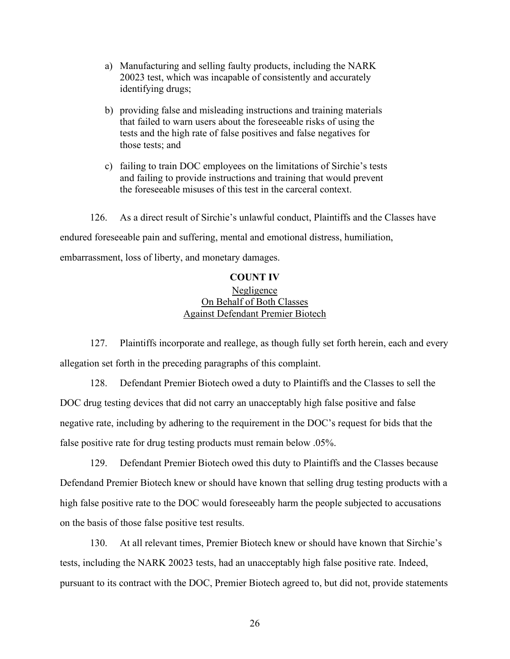- a) Manufacturing and selling faulty products, including the NARK 20023 test, which was incapable of consistently and accurately identifying drugs;
- b) providing false and misleading instructions and training materials that failed to warn users about the foreseeable risks of using the tests and the high rate of false positives and false negatives for those tests; and
- c) failing to train DOC employees on the limitations of Sirchie's tests and failing to provide instructions and training that would prevent the foreseeable misuses of this test in the carceral context.

126. As a direct result of Sirchie's unlawful conduct, Plaintiffs and the Classes have endured foreseeable pain and suffering, mental and emotional distress, humiliation, embarrassment, loss of liberty, and monetary damages.

### **COUNT IV**

# Negligence On Behalf of Both Classes Against Defendant Premier Biotech

127. Plaintiffs incorporate and reallege, as though fully set forth herein, each and every allegation set forth in the preceding paragraphs of this complaint.

128. Defendant Premier Biotech owed a duty to Plaintiffs and the Classes to sell the DOC drug testing devices that did not carry an unacceptably high false positive and false negative rate, including by adhering to the requirement in the DOC's request for bids that the false positive rate for drug testing products must remain below .05%.

129. Defendant Premier Biotech owed this duty to Plaintiffs and the Classes because Defendand Premier Biotech knew or should have known that selling drug testing products with a high false positive rate to the DOC would foreseeably harm the people subjected to accusations on the basis of those false positive test results.

130. At all relevant times, Premier Biotech knew or should have known that Sirchie's tests, including the NARK 20023 tests, had an unacceptably high false positive rate. Indeed, pursuant to its contract with the DOC, Premier Biotech agreed to, but did not, provide statements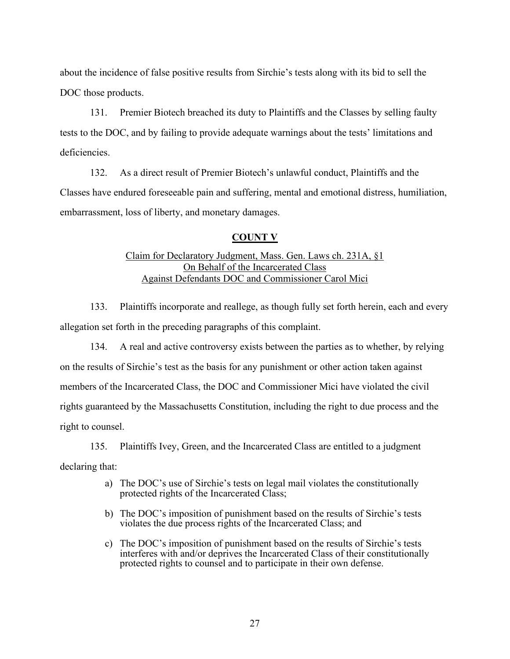about the incidence of false positive results from Sirchie's tests along with its bid to sell the DOC those products.

131. Premier Biotech breached its duty to Plaintiffs and the Classes by selling faulty tests to the DOC, and by failing to provide adequate warnings about the tests' limitations and deficiencies.

132. As a direct result of Premier Biotech's unlawful conduct, Plaintiffs and the Classes have endured foreseeable pain and suffering, mental and emotional distress, humiliation, embarrassment, loss of liberty, and monetary damages.

## **COUNT V**

# Claim for Declaratory Judgment, Mass. Gen. Laws ch. 231A, §1 On Behalf of the Incarcerated Class Against Defendants DOC and Commissioner Carol Mici

133. Plaintiffs incorporate and reallege, as though fully set forth herein, each and every allegation set forth in the preceding paragraphs of this complaint.

134. A real and active controversy exists between the parties as to whether, by relying on the results of Sirchie's test as the basis for any punishment or other action taken against members of the Incarcerated Class, the DOC and Commissioner Mici have violated the civil rights guaranteed by the Massachusetts Constitution, including the right to due process and the right to counsel.

135. Plaintiffs Ivey, Green, and the Incarcerated Class are entitled to a judgment declaring that:

- a) The DOC's use of Sirchie's tests on legal mail violates the constitutionally protected rights of the Incarcerated Class;
- b) The DOC's imposition of punishment based on the results of Sirchie's tests violates the due process rights of the Incarcerated Class; and
- c) The DOC's imposition of punishment based on the results of Sirchie's tests interferes with and/or deprives the Incarcerated Class of their constitutionally protected rights to counsel and to participate in their own defense.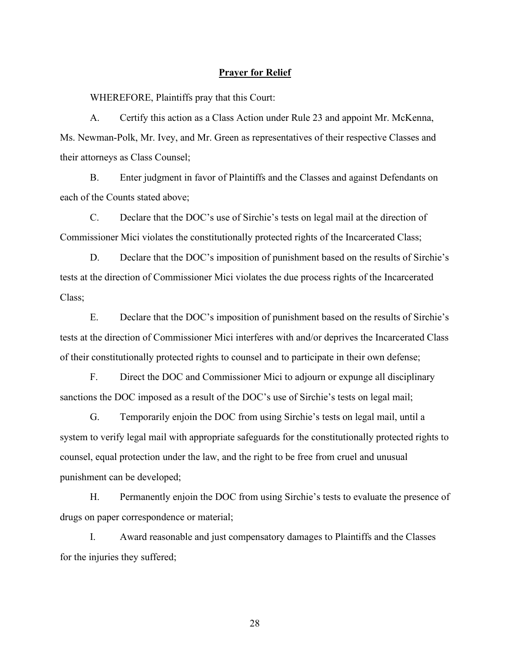### **Prayer for Relief**

WHEREFORE, Plaintiffs pray that this Court:

A. Certify this action as a Class Action under Rule 23 and appoint Mr. McKenna, Ms. Newman-Polk, Mr. Ivey, and Mr. Green as representatives of their respective Classes and their attorneys as Class Counsel;

B. Enter judgment in favor of Plaintiffs and the Classes and against Defendants on each of the Counts stated above;

C. Declare that the DOC's use of Sirchie's tests on legal mail at the direction of Commissioner Mici violates the constitutionally protected rights of the Incarcerated Class;

D. Declare that the DOC's imposition of punishment based on the results of Sirchie's tests at the direction of Commissioner Mici violates the due process rights of the Incarcerated Class;

E. Declare that the DOC's imposition of punishment based on the results of Sirchie's tests at the direction of Commissioner Mici interferes with and/or deprives the Incarcerated Class of their constitutionally protected rights to counsel and to participate in their own defense;

F. Direct the DOC and Commissioner Mici to adjourn or expunge all disciplinary sanctions the DOC imposed as a result of the DOC's use of Sirchie's tests on legal mail;

G. Temporarily enjoin the DOC from using Sirchie's tests on legal mail, until a system to verify legal mail with appropriate safeguards for the constitutionally protected rights to counsel, equal protection under the law, and the right to be free from cruel and unusual punishment can be developed;

H. Permanently enjoin the DOC from using Sirchie's tests to evaluate the presence of drugs on paper correspondence or material;

I. Award reasonable and just compensatory damages to Plaintiffs and the Classes for the injuries they suffered;